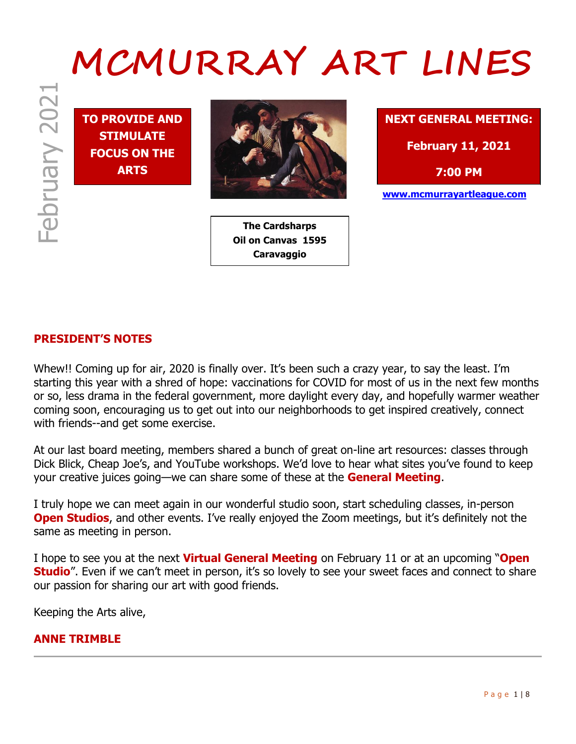# <sup>2021</sup> **MCMURRAY ART LINES**

**TO PROVIDE AND STIMULATE FOCUS ON THE ARTS**



**The Cardsharps Oil on Canvas 1595 Caravaggio**



# **PRESIDENT'S NOTES**

Whew!! Coming up for air, 2020 is finally over. It's been such a crazy year, to say the least. I'm starting this year with a shred of hope: vaccinations for COVID for most of us in the next few months or so, less drama in the federal government, more daylight every day, and hopefully warmer weather coming soon, encouraging us to get out into our neighborhoods to get inspired creatively, connect with friends--and get some exercise.

At our last board meeting, members shared a bunch of great on-line art resources: classes through Dick Blick, Cheap Joe's, and YouTube workshops. We'd love to hear what sites you've found to keep your creative juices going—we can share some of these at the **General Meeting**.

I truly hope we can meet again in our wonderful studio soon, start scheduling classes, in-person **Open Studios**, and other events. I've really enjoyed the Zoom meetings, but it's definitely not the same as meeting in person.

I hope to see you at the next **Virtual General Meeting** on February 11 or at an upcoming "**Open Studio**". Even if we can't meet in person, it's so lovely to see your sweet faces and connect to share our passion for sharing our art with good friends.

Keeping the Arts alive,

#### **ANNE TRIMBLE**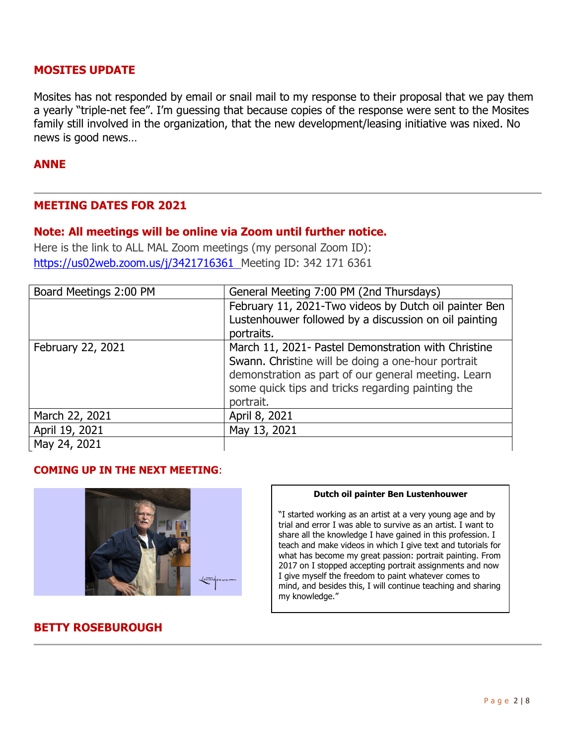#### **MOSITES UPDATE**

Mosites has not responded by email or snail mail to my response to their proposal that we pay them a yearly "triple-net fee". I'm guessing that because copies of the response were sent to the Mosites family still involved in the organization, that the new development/leasing initiative was nixed. No news is good news…

#### **ANNE**

#### **MEETING DATES FOR 2021**

#### **Note: All meetings will be online via Zoom until further notice.**

Here is the link to ALL MAL Zoom meetings (my personal Zoom ID): https://us02web.zoom.us/j/3421716361 Meeting ID: 342 171 6361

| Board Meetings 2:00 PM | General Meeting 7:00 PM (2nd Thursdays)               |
|------------------------|-------------------------------------------------------|
|                        | February 11, 2021-Two videos by Dutch oil painter Ben |
|                        | Lustenhouwer followed by a discussion on oil painting |
|                        | portraits.                                            |
| February 22, 2021      | March 11, 2021- Pastel Demonstration with Christine   |
|                        | Swann. Christine will be doing a one-hour portrait    |
|                        | demonstration as part of our general meeting. Learn   |
|                        | some quick tips and tricks regarding painting the     |
|                        | portrait.                                             |
| March 22, 2021         | April 8, 2021                                         |
| April 19, 2021         | May 13, 2021                                          |
| May 24, 2021           |                                                       |

#### **COMING UP IN THE NEXT MEETING**:



#### **Dutch oil painter Ben Lustenhouwer**

"I started working as an artist at a very young age and by trial and error I was able to survive as an artist. I want to share all the knowledge I have gained in this profession. I teach and make videos in which I give text and tutorials for what has become my great passion: portrait painting. From 2017 on I stopped accepting portrait assignments and now I give myself the freedom to paint whatever comes to mind, and besides this, I will continue teaching and sharing my knowledge."

# **BETTY ROSEBUROUGH**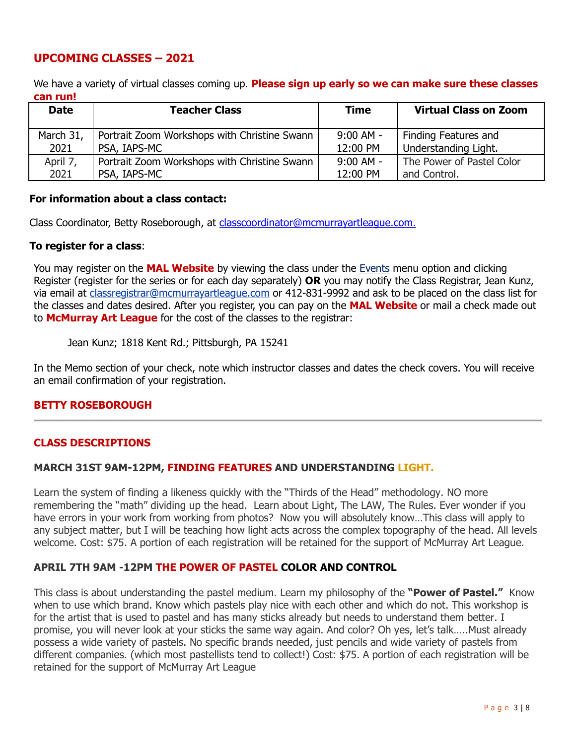# **UPCOMING CLASSES – 2021**

We have a variety of virtual classes coming up. **Please sign up early so we can make sure these classes can run!** 

| <b>Date</b> | <b>Teacher Class</b>                         | <b>Time</b> | <b>Virtual Class on Zoom</b> |
|-------------|----------------------------------------------|-------------|------------------------------|
| March 31,   | Portrait Zoom Workshops with Christine Swann | $9:00$ AM - | Finding Features and         |
| 2021        | PSA, IAPS-MC                                 | 12:00 PM    | Understanding Light.         |
| April 7,    | Portrait Zoom Workshops with Christine Swann | $9:00$ AM - | The Power of Pastel Color    |
| 2021        | PSA, IAPS-MC                                 | 12:00 PM    | and Control.                 |

#### **For information about a class contact:**

Class Coordinator, Betty Roseborough, at classcoordinator@mcmurrayartleague.com.

#### **To register for a class**:

You may register on the **MAL Website** by viewing the class under the Events menu option and clicking Register (register for the series or for each day separately) **OR** you may notify the Class Registrar, Jean Kunz, via email at classregistrar@mcmurrayartleague.com or 412-831-9992 and ask to be placed on the class list for the classes and dates desired. After you register, you can pay on the **MAL Website** or mail a check made out to **McMurray Art League** for the cost of the classes to the registrar:

#### Jean Kunz; 1818 Kent Rd.; Pittsburgh, PA 15241

In the Memo section of your check, note which instructor classes and dates the check covers. You will receive an email confirmation of your registration.

#### **BETTY ROSEBOROUGH**

# **CLASS DESCRIPTIONS**

#### **MARCH 31ST 9AM-12PM, FINDING FEATURES AND UNDERSTANDING LIGHT.**

Learn the system of finding a likeness quickly with the "Thirds of the Head" methodology. NO more remembering the "math" dividing up the head. Learn about Light, The LAW, The Rules. Ever wonder if you have errors in your work from working from photos? Now you will absolutely know…This class will apply to any subject matter, but I will be teaching how light acts across the complex topography of the head. All levels welcome. Cost: \$75. A portion of each registration will be retained for the support of McMurray Art League.

#### **APRIL 7TH 9AM -12PM THE POWER OF PASTEL COLOR AND CONTROL**

This class is about understanding the pastel medium. Learn my philosophy of the **"Power of Pastel."** Know when to use which brand. Know which pastels play nice with each other and which do not. This workshop is for the artist that is used to pastel and has many sticks already but needs to understand them better. I promise, you will never look at your sticks the same way again. And color? Oh yes, let's talk…..Must already possess a wide variety of pastels. No specific brands needed, just pencils and wide variety of pastels from different companies. (which most pastellists tend to collect!) Cost: \$75. A portion of each registration will be retained for the support of McMurray Art League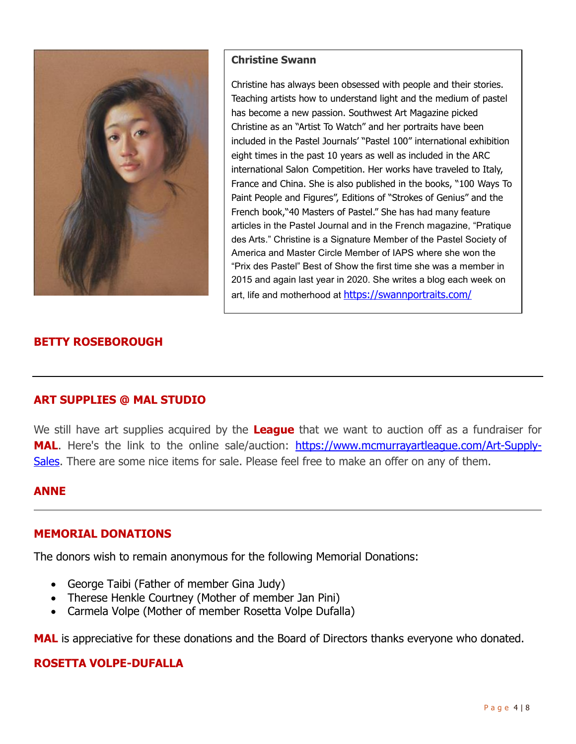

#### **Christine Swann**

Christine has always been obsessed with people and their stories. Teaching artists how to understand light and the medium of pastel has become a new passion. Southwest Art Magazine picked Christine as an "Artist To Watch" and her portraits have been included in the Pastel Journals' "Pastel 100" international exhibition eight times in the past 10 years as well as included in the ARC international Salon Competition. Her works have traveled to Italy, France and China. She is also published in the books, "100 Ways To Paint People and Figures", Editions of "Strokes of Genius" and the French book,"40 Masters of Pastel." She has had many feature articles in the Pastel Journal and in the French magazine, "Pratique des Arts." Christine is a Signature Member of the Pastel Society of America and Master Circle Member of IAPS where she won the "Prix des Pastel" Best of Show the first time she was a member in 2015 and again last year in 2020. She writes a blog each week on art, life and motherhood at https://swannportraits.com/

# **BETTY ROSEBOROUGH**

# **ART SUPPLIES @ MAL STUDIO**

We still have art supplies acquired by the **League** that we want to auction off as a fundraiser for **MAL.** Here's the link to the online sale/auction: https://www.mcmurrayartleague.com/Art-Supply-Sales. There are some nice items for sale. Please feel free to make an offer on any of them.

# **ANNE**

#### **MEMORIAL DONATIONS**

The donors wish to remain anonymous for the following Memorial Donations:

- George Taibi (Father of member Gina Judy)
- Therese Henkle Courtney (Mother of member Jan Pini)
- Carmela Volpe (Mother of member Rosetta Volpe Dufalla)

MAL is appreciative for these donations and the Board of Directors thanks everyone who donated.

# **ROSETTA VOLPE-DUFALLA**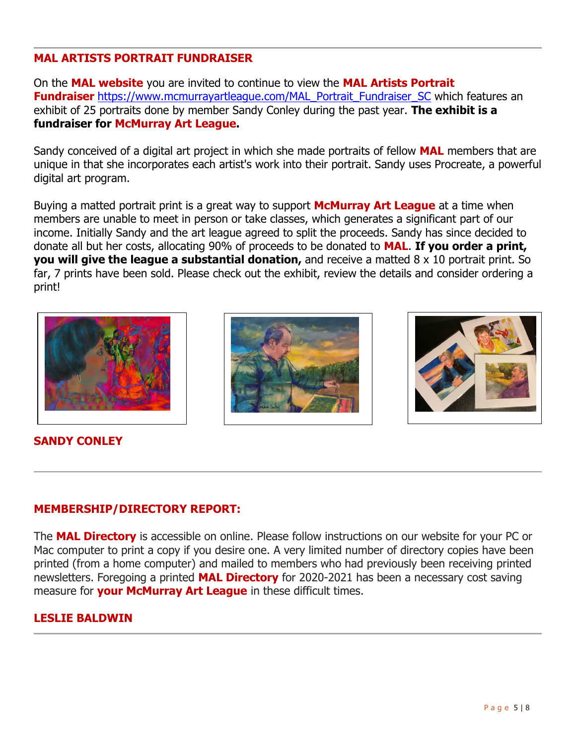# **MAL ARTISTS PORTRAIT FUNDRAISER**

On the **MAL website** you are invited to continue to view the **MAL Artists Portrait Fundraiser** https://www.mcmurrayartleague.com/MAL\_Portrait\_Fundraiser\_SC which features an exhibit of 25 portraits done by member Sandy Conley during the past year. **The exhibit is a fundraiser for McMurray Art League.**

Sandy conceived of a digital art project in which she made portraits of fellow **MAL** members that are unique in that she incorporates each artist's work into their portrait. Sandy uses Procreate, a powerful digital art program.

Buying a matted portrait print is a great way to support **McMurray Art League** at a time when members are unable to meet in person or take classes, which generates a significant part of our income. Initially Sandy and the art league agreed to split the proceeds. Sandy has since decided to donate all but her costs, allocating 90% of proceeds to be donated to **MAL**. **If you order a print, you will give the league a substantial donation,** and receive a matted 8 x 10 portrait print. So far, 7 prints have been sold. Please check out the exhibit, review the details and consider ordering a print!





# **SANDY CONLEY**

# **MEMBERSHIP/DIRECTORY REPORT:**

The **MAL Directory** is accessible on online. Please follow instructions on our website for your PC or Mac computer to print a copy if you desire one. A very limited number of directory copies have been printed (from a home computer) and mailed to members who had previously been receiving printed newsletters. Foregoing a printed **MAL Directory** for 2020-2021 has been a necessary cost saving measure for **your McMurray Art League** in these difficult times.

# **LESLIE BALDWIN**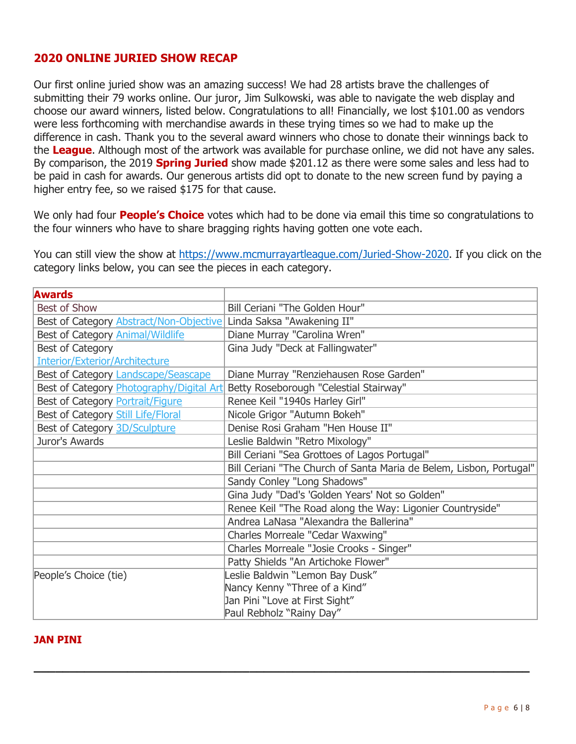# **2020 ONLINE JURIED SHOW RECAP**

Our first online juried show was an amazing success! We had 28 artists brave the challenges of submitting their 79 works online. Our juror, Jim Sulkowski, was able to navigate the web display and choose our award winners, listed below. Congratulations to all! Financially, we lost \$101.00 as vendors were less forthcoming with merchandise awards in these trying times so we had to make up the difference in cash. Thank you to the several award winners who chose to donate their winnings back to the **League**. Although most of the artwork was available for purchase online, we did not have any sales. By comparison, the 2019 **Spring Juried** show made \$201.12 as there were some sales and less had to be paid in cash for awards. Our generous artists did opt to donate to the new screen fund by paying a higher entry fee, so we raised \$175 for that cause.

We only had four **People's Choice** votes which had to be done via email this time so congratulations to the four winners who have to share bragging rights having gotten one vote each.

You can still view the show at https://www.mcmurrayartleague.com/Juried-Show-2020. If you click on the category links below, you can see the pieces in each category.

| <b>Awards</b>                                                             |                                                                     |
|---------------------------------------------------------------------------|---------------------------------------------------------------------|
| <b>Best of Show</b>                                                       | Bill Ceriani "The Golden Hour"                                      |
| Best of Category <b>Abstract/Non-Objective</b> Linda Saksa "Awakening II" |                                                                     |
| Best of Category Animal/Wildlife                                          | Diane Murray "Carolina Wren"                                        |
| Best of Category                                                          | Gina Judy "Deck at Fallingwater"                                    |
| <b>Interior/Exterior/Architecture</b>                                     |                                                                     |
| Best of Category Landscape/Seascape                                       | Diane Murray "Renziehausen Rose Garden"                             |
| Best of Category <b>Photography/Digital Art</b>                           | Betty Roseborough "Celestial Stairway"                              |
| Best of Category Portrait/Figure                                          | Renee Keil "1940s Harley Girl"                                      |
| Best of Category Still Life/Floral                                        | Nicole Grigor "Autumn Bokeh"                                        |
| Best of Category 3D/Sculpture                                             | Denise Rosi Graham "Hen House II"                                   |
| Juror's Awards                                                            | Leslie Baldwin "Retro Mixology"                                     |
|                                                                           | Bill Ceriani "Sea Grottoes of Lagos Portugal"                       |
|                                                                           | Bill Ceriani "The Church of Santa Maria de Belem, Lisbon, Portugal" |
|                                                                           | Sandy Conley "Long Shadows"                                         |
|                                                                           | Gina Judy "Dad's 'Golden Years' Not so Golden"                      |
|                                                                           | Renee Keil "The Road along the Way: Ligonier Countryside"           |
|                                                                           | Andrea LaNasa "Alexandra the Ballerina"                             |
|                                                                           | Charles Morreale "Cedar Waxwing"                                    |
|                                                                           | Charles Morreale "Josie Crooks - Singer"                            |
|                                                                           | Patty Shields "An Artichoke Flower"                                 |
| People's Choice (tie)                                                     | eslie Baldwin "Lemon Bay Dusk"                                      |
|                                                                           | Nancy Kenny "Three of a Kind"                                       |
|                                                                           | Jan Pini "Love at First Sight"                                      |
|                                                                           | Paul Rebholz "Rainy Day"                                            |

**\_\_\_\_\_\_\_\_\_\_\_\_\_\_\_\_\_\_\_\_\_\_\_\_\_\_\_\_\_\_\_\_\_\_\_\_\_\_\_\_\_\_\_\_\_\_\_\_\_\_\_\_\_\_\_\_\_\_\_\_\_\_\_\_\_\_\_\_\_**

#### **JAN PINI**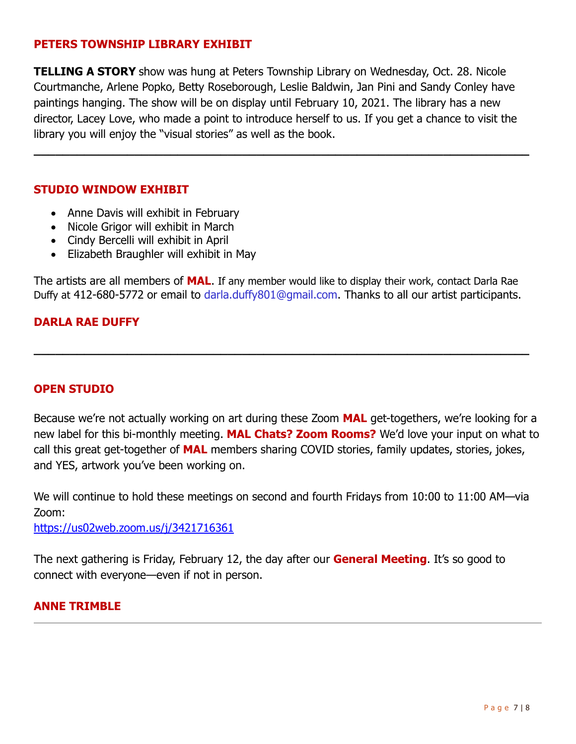# **PETERS TOWNSHIP LIBRARY EXHIBIT**

**TELLING A STORY** show was hung at Peters Township Library on Wednesday, Oct. 28. Nicole Courtmanche, Arlene Popko, Betty Roseborough, Leslie Baldwin, Jan Pini and Sandy Conley have paintings hanging. The show will be on display until February 10, 2021. The library has a new director, Lacey Love, who made a point to introduce herself to us. If you get a chance to visit the library you will enjoy the "visual stories" as well as the book.

**\_\_\_\_\_\_\_\_\_\_\_\_\_\_\_\_\_\_\_\_\_\_\_\_\_\_\_\_\_\_\_\_\_\_\_\_\_\_\_\_\_\_\_\_\_\_\_\_\_\_\_\_\_\_\_\_\_\_\_\_\_\_\_\_\_\_\_\_\_**

# **STUDIO WINDOW EXHIBIT**

- Anne Davis will exhibit in February
- Nicole Grigor will exhibit in March
- Cindy Bercelli will exhibit in April
- Elizabeth Braughler will exhibit in May

The artists are all members of **MAL**. If any member would like to display their work, contact Darla Rae Duffy at 412-680-5772 or email to darla.duffy801@gmail.com. Thanks to all our artist participants.

**\_\_\_\_\_\_\_\_\_\_\_\_\_\_\_\_\_\_\_\_\_\_\_\_\_\_\_\_\_\_\_\_\_\_\_\_\_\_\_\_\_\_\_\_\_\_\_\_\_\_\_\_\_\_\_\_\_\_\_\_\_\_\_\_\_\_\_\_\_**

# **DARLA RAE DUFFY**

# **OPEN STUDIO**

Because we're not actually working on art during these Zoom **MAL** get-togethers, we're looking for a new label for this bi-monthly meeting. **MAL Chats? Zoom Rooms?** We'd love your input on what to call this great get-together of **MAL** members sharing COVID stories, family updates, stories, jokes, and YES, artwork you've been working on.

We will continue to hold these meetings on second and fourth Fridays from 10:00 to 11:00 AM—via Zoom:

https://us02web.zoom.us/j/3421716361

The next gathering is Friday, February 12, the day after our **General Meeting**. It's so good to connect with everyone—even if not in person.

# **ANNE TRIMBLE**